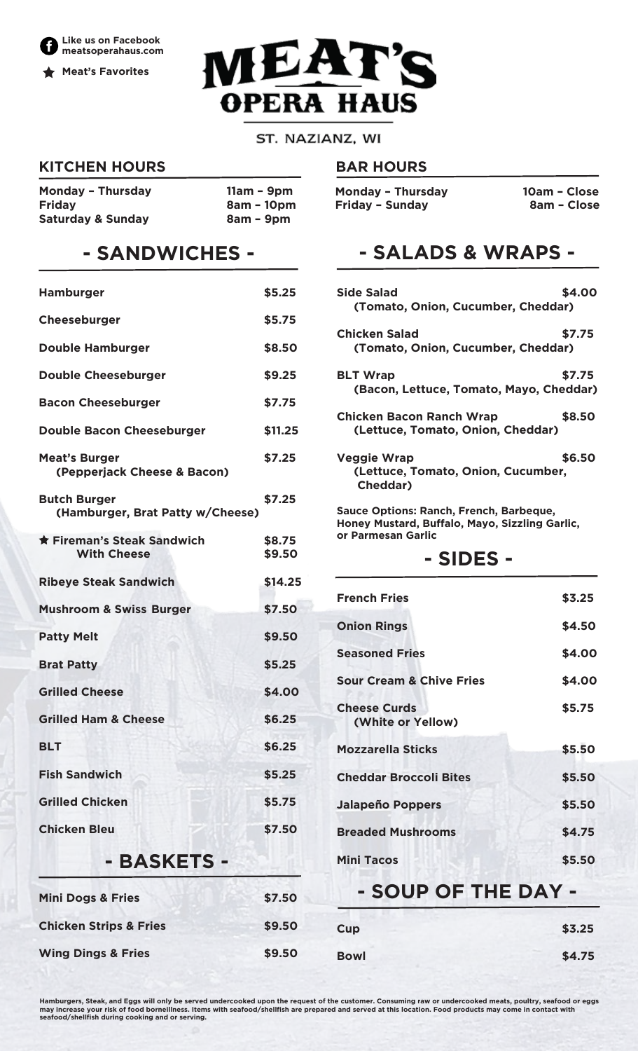

**K** Meat's Favorites



ST. NAZIANZ, WI

### **KITCHEN HOURS BAR HOURS**

| <b>Monday - Thursday</b>     | $11am - 9pm$ |
|------------------------------|--------------|
| <b>Friday</b>                | 8am - 10pm   |
| <b>Saturday &amp; Sunday</b> | $8am - 9pm$  |

| <b>Hamburger</b>                                        | \$5.25           |
|---------------------------------------------------------|------------------|
| Cheeseburger                                            | \$5.75           |
| <b>Double Hamburger</b>                                 | \$8.50           |
| <b>Double Cheeseburger</b>                              | \$9.25           |
| <b>Bacon Cheeseburger</b>                               | \$7.75           |
| <b>Double Bacon Cheeseburger</b>                        | \$11.25          |
| <b>Meat's Burger</b><br>(Pepperjack Cheese & Bacon)     | \$7.25           |
| <b>Butch Burger</b><br>(Hamburger, Brat Patty w/Cheese) | \$7.25           |
| <b>★ Fireman's Steak Sandwich</b><br><b>With Cheese</b> | \$8.75<br>\$9.50 |
| <b>Ribeye Steak Sandwich</b>                            | \$14.25          |
| <b>Mushroom &amp; Swiss Burger</b>                      | \$7.50           |
| <b>Patty Melt</b>                                       | \$9.50           |
| <b>Brat Patty</b>                                       | \$5.25           |
| <b>Grilled Cheese</b>                                   | \$4.00           |
| <b>Grilled Ham &amp; Cheese</b>                         | \$6.25           |
| <b>BLT</b>                                              | \$6.25           |
| <b>Fish Sandwich</b>                                    | \$5.25           |
| <b>Grilled Chicken</b>                                  | \$5.75           |
| <b>Chicken Bleu</b>                                     | \$7.50           |
| - BASKETS -                                             |                  |
| <b>Mini Dogs &amp; Fries</b>                            | \$7.50           |
| <b>Chicken Strips &amp; Fries</b>                       | \$9.50           |
| <b>Wing Dings &amp; Fries</b>                           | \$9.50           |

| <b>Monday - Thursday</b> | 10am - Close |
|--------------------------|--------------|
| Friday - Sunday          | 8am - Close  |

## **- SANDWICHES - - SALADS & WRAPS -**

| <b>Side Salad</b><br>(Tomato, Onion, Cucumber, Cheddar)                                                         | \$4.00 |
|-----------------------------------------------------------------------------------------------------------------|--------|
| Chicken Salad<br>(Tomato, Onion, Cucumber, Cheddar)                                                             | \$7.75 |
| <b>BLT Wrap</b><br>(Bacon, Lettuce, Tomato, Mayo, Cheddar)                                                      | \$7.75 |
| <b>Chicken Bacon Ranch Wrap</b><br>(Lettuce, Tomato, Onion, Cheddar)                                            | \$8.50 |
| <b>Veggie Wrap</b><br>(Lettuce, Tomato, Onion, Cucumber,<br><b>Cheddar)</b>                                     | \$6.50 |
| Sauce Options: Ranch, French, Barbeque,<br>Honey Mustard, Buffalo, Mayo, Sizzling Garlic,<br>or Parmesan Garlic |        |
| - SIDES -                                                                                                       |        |
| <b>French Fries</b>                                                                                             | \$3.25 |
| <b>Onion Rings</b>                                                                                              | \$4.50 |
| <b>Seasoned Fries</b>                                                                                           | \$4.00 |
| <b>Sour Cream &amp; Chive Fries</b>                                                                             | \$4.00 |
| <b>Cheese Curds</b><br>(White or Yellow)                                                                        | \$5.75 |
| <b>Mozzarella Sticks</b>                                                                                        | \$5.50 |
| <b>Cheddar Broccoli Bites</b>                                                                                   | \$5.50 |
| <b>Jalapeño Poppers</b>                                                                                         | \$5.50 |
| <b>Breaded Mushrooms</b>                                                                                        | \$4.75 |
| <b>Mini Tacos</b>                                                                                               | \$5.50 |
| - SOUP OF THE DAY -                                                                                             |        |
| Cup                                                                                                             | \$3.25 |

**Bowl** \$4.75

 Hamburgers, Steak, and Eggs will only be served undercooked upon the request of the customer. Consuming raw or undercooked meats, poultry, seafood or eggs<br>may increase your risk of food borneillness. Items with seafood/she